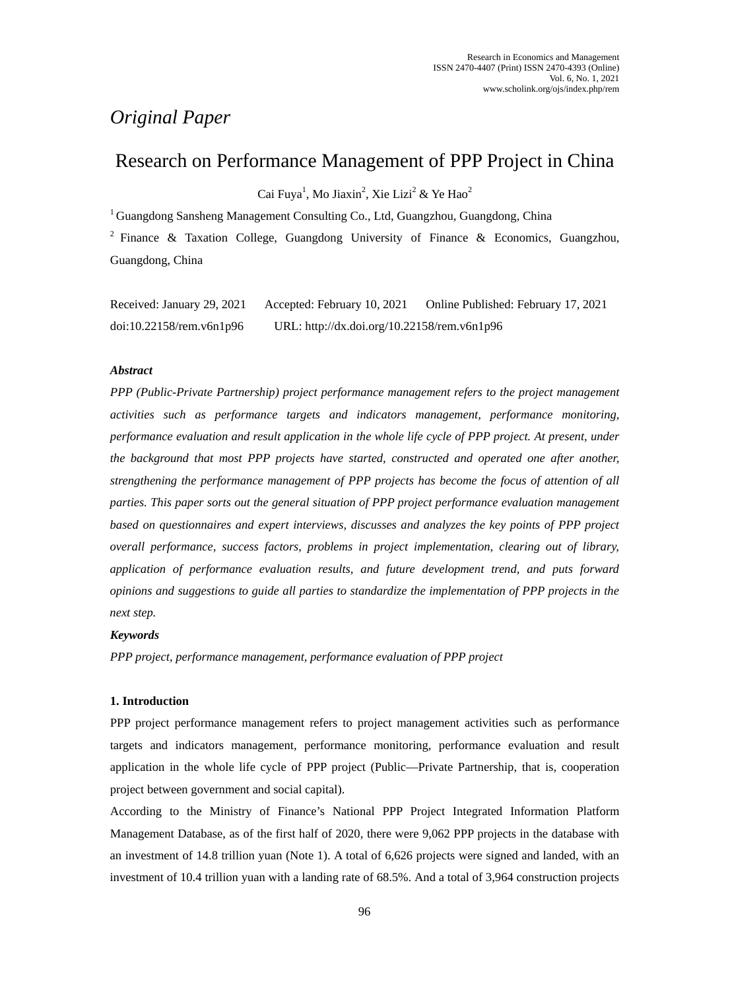# *Original Paper*

# Research on Performance Management of PPP Project in China

Cai Fuya<sup>1</sup>, Mo Jiaxin<sup>2</sup>, Xie Lizi<sup>2</sup> & Ye Hao<sup>2</sup>

<sup>1</sup> Guangdong Sansheng Management Consulting Co., Ltd, Guangzhou, Guangdong, China

<sup>2</sup> Finance & Taxation College, Guangdong University of Finance & Economics, Guangzhou, Guangdong, China

| Received: January 29, 2021  | Accepted: February 10, 2021                 | Online Published: February 17, 2021 |
|-----------------------------|---------------------------------------------|-------------------------------------|
| $doi:10.22158$ /rem.v6n1p96 | URL: http://dx.doi.org/10.22158/rem.v6n1p96 |                                     |

# *Abstract*

*PPP (Public-Private Partnership) project performance management refers to the project management activities such as performance targets and indicators management, performance monitoring, performance evaluation and result application in the whole life cycle of PPP project. At present, under the background that most PPP projects have started, constructed and operated one after another, strengthening the performance management of PPP projects has become the focus of attention of all parties. This paper sorts out the general situation of PPP project performance evaluation management based on questionnaires and expert interviews, discusses and analyzes the key points of PPP project overall performance, success factors, problems in project implementation, clearing out of library, application of performance evaluation results, and future development trend, and puts forward opinions and suggestions to guide all parties to standardize the implementation of PPP projects in the next step.*

# *Keywords*

*PPP project, performance management, performance evaluation of PPP project*

# **1. Introduction**

PPP project performance management refers to project management activities such as performance targets and indicators management, performance monitoring, performance evaluation and result application in the whole life cycle of PPP project (Public—Private Partnership, that is, cooperation project between government and social capital).

According to the Ministry of Finance's National PPP Project Integrated Information Platform Management Database, as of the first half of 2020, there were 9,062 PPP projects in the database with an investment of 14.8 trillion yuan (Note 1). A total of 6,626 projects were signed and landed, with an investment of 10.4 trillion yuan with a landing rate of 68.5%. And a total of 3,964 construction projects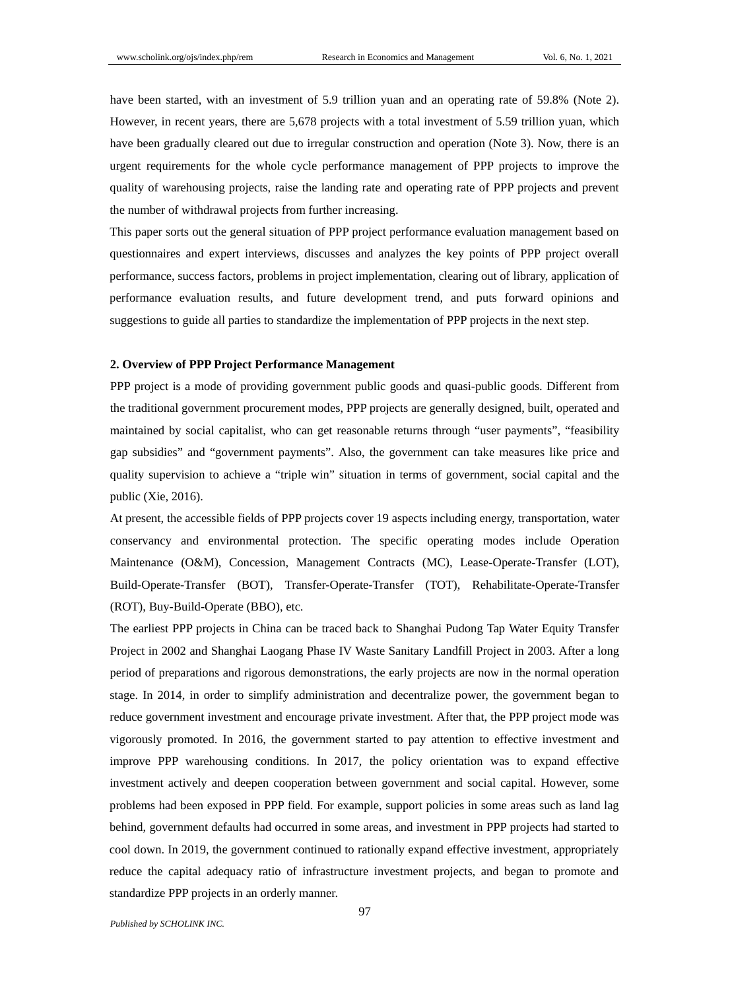have been started, with an investment of 5.9 trillion yuan and an operating rate of 59.8% (Note 2). However, in recent years, there are 5,678 projects with a total investment of 5.59 trillion yuan, which have been gradually cleared out due to irregular construction and operation (Note 3). Now, there is an urgent requirements for the whole cycle performance management of PPP projects to improve the quality of warehousing projects, raise the landing rate and operating rate of PPP projects and prevent the number of withdrawal projects from further increasing.

This paper sorts out the general situation of PPP project performance evaluation management based on questionnaires and expert interviews, discusses and analyzes the key points of PPP project overall performance, success factors, problems in project implementation, clearing out of library, application of performance evaluation results, and future development trend, and puts forward opinions and suggestions to guide all parties to standardize the implementation of PPP projects in the next step.

# **2. Overview of PPP Project Performance Management**

PPP project is a mode of providing government public goods and quasi-public goods. Different from the traditional government procurement modes, PPP projects are generally designed, built, operated and maintained by social capitalist, who can get reasonable returns through "user payments", "feasibility gap subsidies" and "government payments". Also, the government can take measures like price and quality supervision to achieve a "triple win" situation in terms of government, social capital and the public (Xie, 2016).

At present, the accessible fields of PPP projects cover 19 aspects including energy, transportation, water conservancy and environmental protection. The specific operating modes include Operation Maintenance (O&M), Concession, Management Contracts (MC), Lease-Operate-Transfer (LOT), Build-Operate-Transfer (BOT), Transfer-Operate-Transfer (TOT), Rehabilitate-Operate-Transfer (ROT), Buy-Build-Operate (BBO), etc.

The earliest PPP projects in China can be traced back to Shanghai Pudong Tap Water Equity Transfer Project in 2002 and Shanghai Laogang Phase IV Waste Sanitary Landfill Project in 2003. After a long period of preparations and rigorous demonstrations, the early projects are now in the normal operation stage. In 2014, in order to simplify administration and decentralize power, the government began to reduce government investment and encourage private investment. After that, the PPP project mode was vigorously promoted. In 2016, the government started to pay attention to effective investment and improve PPP warehousing conditions. In 2017, the policy orientation was to expand effective investment actively and deepen cooperation between government and social capital. However, some problems had been exposed in PPP field. For example, support policies in some areas such as land lag behind, government defaults had occurred in some areas, and investment in PPP projects had started to cool down. In 2019, the government continued to rationally expand effective investment, appropriately reduce the capital adequacy ratio of infrastructure investment projects, and began to promote and standardize PPP projects in an orderly manner.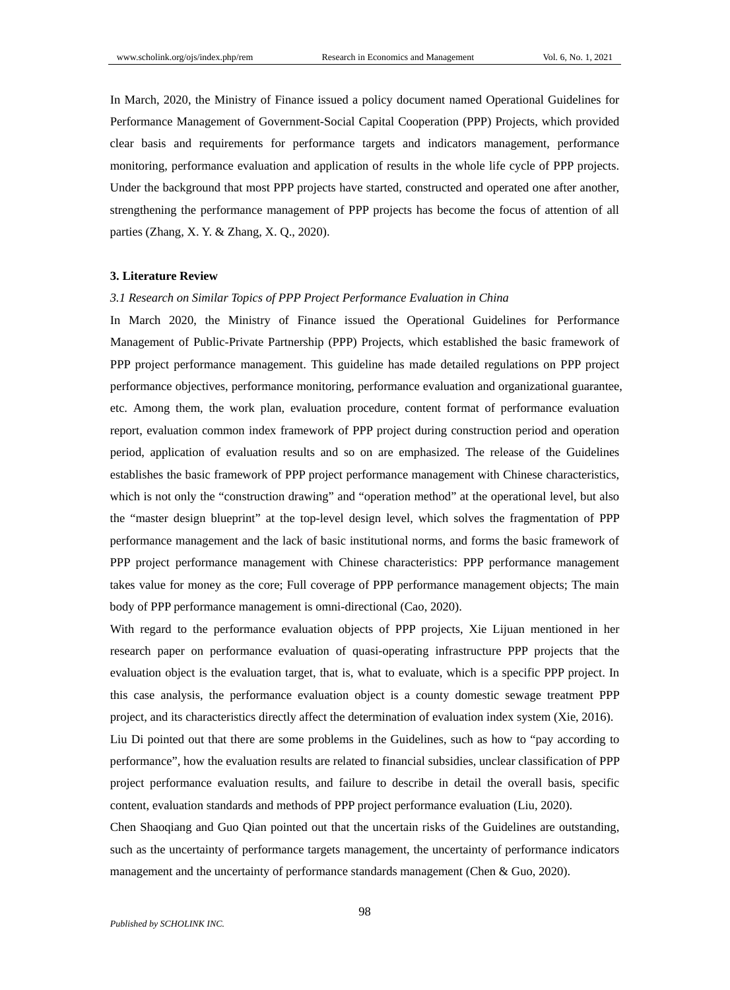In March, 2020, the Ministry of Finance issued a policy document named Operational Guidelines for Performance Management of Government-Social Capital Cooperation (PPP) Projects, which provided clear basis and requirements for performance targets and indicators management, performance monitoring, performance evaluation and application of results in the whole life cycle of PPP projects. Under the background that most PPP projects have started, constructed and operated one after another, strengthening the performance management of PPP projects has become the focus of attention of all parties (Zhang, X. Y. & Zhang, X. Q., 2020).

#### **3. Literature Review**

## *3.1 Research on Similar Topics of PPP Project Performance Evaluation in China*

In March 2020, the Ministry of Finance issued the Operational Guidelines for Performance Management of Public-Private Partnership (PPP) Projects, which established the basic framework of PPP project performance management. This guideline has made detailed regulations on PPP project performance objectives, performance monitoring, performance evaluation and organizational guarantee, etc. Among them, the work plan, evaluation procedure, content format of performance evaluation report, evaluation common index framework of PPP project during construction period and operation period, application of evaluation results and so on are emphasized. The release of the Guidelines establishes the basic framework of PPP project performance management with Chinese characteristics, which is not only the "construction drawing" and "operation method" at the operational level, but also the "master design blueprint" at the top-level design level, which solves the fragmentation of PPP performance management and the lack of basic institutional norms, and forms the basic framework of PPP project performance management with Chinese characteristics: PPP performance management takes value for money as the core; Full coverage of PPP performance management objects; The main body of PPP performance management is omni-directional (Cao, 2020).

With regard to the performance evaluation objects of PPP projects, Xie Lijuan mentioned in her research paper on performance evaluation of quasi-operating infrastructure PPP projects that the evaluation object is the evaluation target, that is, what to evaluate, which is a specific PPP project. In this case analysis, the performance evaluation object is a county domestic sewage treatment PPP project, and its characteristics directly affect the determination of evaluation index system (Xie, 2016).

Liu Di pointed out that there are some problems in the Guidelines, such as how to "pay according to performance", how the evaluation results are related to financial subsidies, unclear classification of PPP project performance evaluation results, and failure to describe in detail the overall basis, specific content, evaluation standards and methods of PPP project performance evaluation (Liu, 2020).

Chen Shaoqiang and Guo Qian pointed out that the uncertain risks of the Guidelines are outstanding, such as the uncertainty of performance targets management, the uncertainty of performance indicators management and the uncertainty of performance standards management (Chen & Guo, 2020).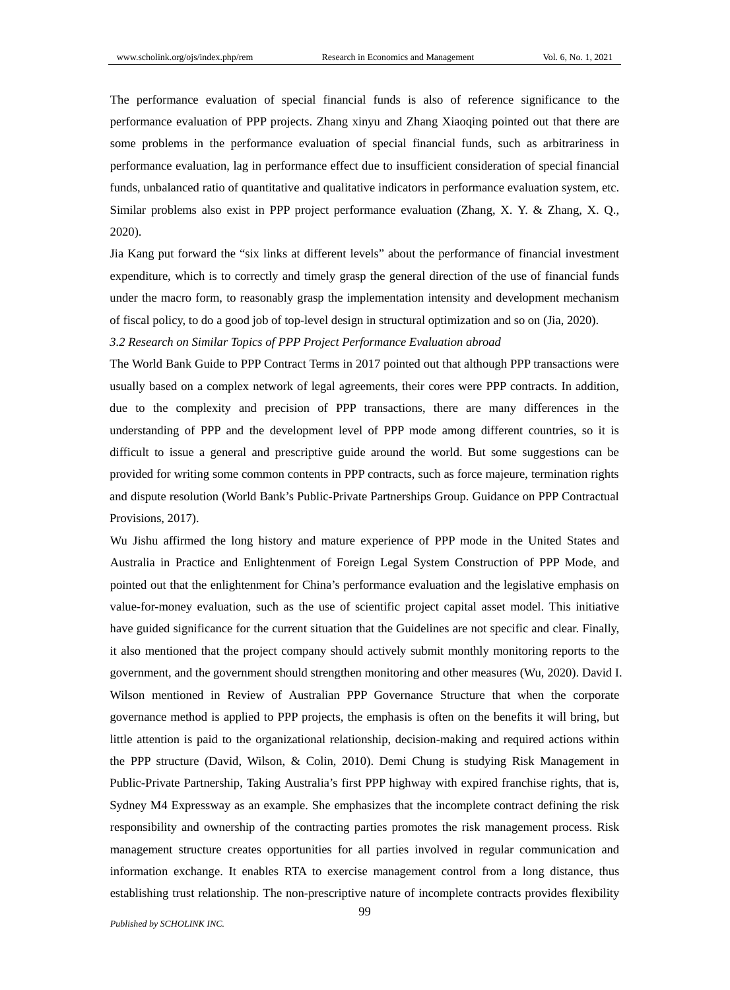The performance evaluation of special financial funds is also of reference significance to the performance evaluation of PPP projects. Zhang xinyu and Zhang Xiaoqing pointed out that there are some problems in the performance evaluation of special financial funds, such as arbitrariness in performance evaluation, lag in performance effect due to insufficient consideration of special financial funds, unbalanced ratio of quantitative and qualitative indicators in performance evaluation system, etc. Similar problems also exist in PPP project performance evaluation (Zhang, X. Y. & Zhang, X. Q., 2020).

Jia Kang put forward the "six links at different levels" about the performance of financial investment expenditure, which is to correctly and timely grasp the general direction of the use of financial funds under the macro form, to reasonably grasp the implementation intensity and development mechanism of fiscal policy, to do a good job of top-level design in structural optimization and so on (Jia, 2020).

#### *3.2 Research on Similar Topics of PPP Project Performance Evaluation abroad*

The World Bank Guide to PPP Contract Terms in 2017 pointed out that although PPP transactions were usually based on a complex network of legal agreements, their cores were PPP contracts. In addition, due to the complexity and precision of PPP transactions, there are many differences in the understanding of PPP and the development level of PPP mode among different countries, so it is difficult to issue a general and prescriptive guide around the world. But some suggestions can be provided for writing some common contents in PPP contracts, such as force majeure, termination rights and dispute resolution (World Bank's Public-Private Partnerships Group. Guidance on PPP Contractual Provisions, 2017).

Wu Jishu affirmed the long history and mature experience of PPP mode in the United States and Australia in Practice and Enlightenment of Foreign Legal System Construction of PPP Mode, and pointed out that the enlightenment for China's performance evaluation and the legislative emphasis on value-for-money evaluation, such as the use of scientific project capital asset model. This initiative have guided significance for the current situation that the Guidelines are not specific and clear. Finally, it also mentioned that the project company should actively submit monthly monitoring reports to the government, and the government should strengthen monitoring and other measures (Wu, 2020). David I. Wilson mentioned in Review of Australian PPP Governance Structure that when the corporate governance method is applied to PPP projects, the emphasis is often on the benefits it will bring, but little attention is paid to the organizational relationship, decision-making and required actions within the PPP structure (David, Wilson, & Colin, 2010). Demi Chung is studying Risk Management in Public-Private Partnership, Taking Australia's first PPP highway with expired franchise rights, that is, Sydney M4 Expressway as an example. She emphasizes that the incomplete contract defining the risk responsibility and ownership of the contracting parties promotes the risk management process. Risk management structure creates opportunities for all parties involved in regular communication and information exchange. It enables RTA to exercise management control from a long distance, thus establishing trust relationship. The non-prescriptive nature of incomplete contracts provides flexibility

*Published by SCHOLINK INC.*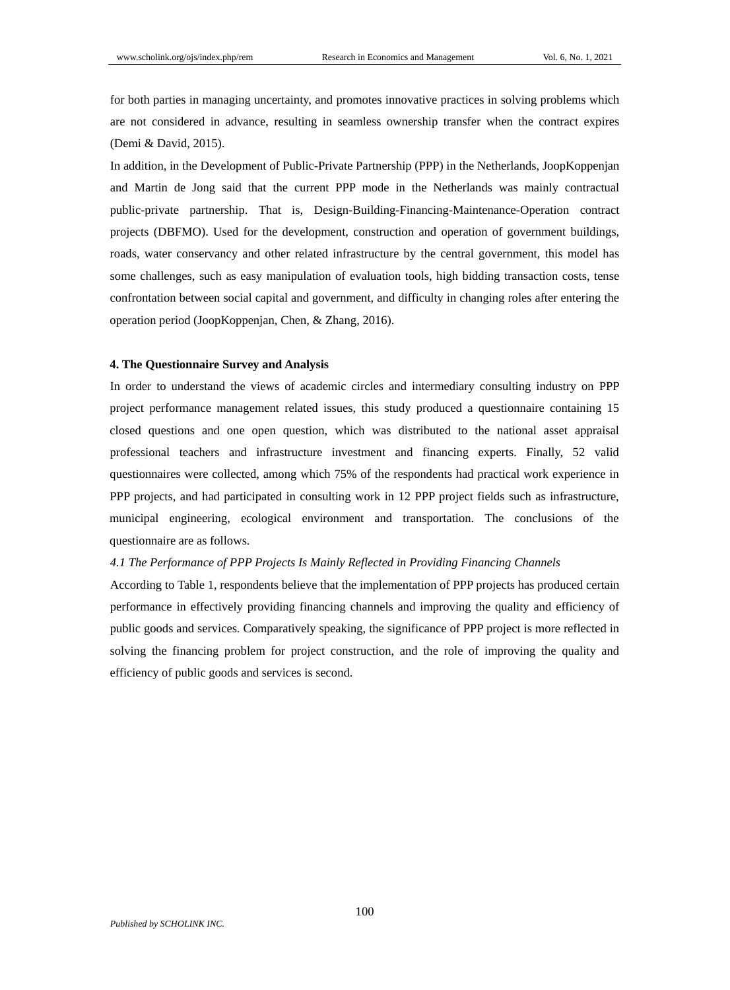for both parties in managing uncertainty, and promotes innovative practices in solving problems which are not considered in advance, resulting in seamless ownership transfer when the contract expires (Demi & David, 2015).

In addition, in the Development of Public-Private Partnership (PPP) in the Netherlands, JoopKoppenjan and Martin de Jong said that the current PPP mode in the Netherlands was mainly contractual public-private partnership. That is, Design-Building-Financing-Maintenance-Operation contract projects (DBFMO). Used for the development, construction and operation of government buildings, roads, water conservancy and other related infrastructure by the central government, this model has some challenges, such as easy manipulation of evaluation tools, high bidding transaction costs, tense confrontation between social capital and government, and difficulty in changing roles after entering the operation period (JoopKoppenjan, Chen, & Zhang, 2016).

#### **4. The Questionnaire Survey and Analysis**

In order to understand the views of academic circles and intermediary consulting industry on PPP project performance management related issues, this study produced a questionnaire containing 15 closed questions and one open question, which was distributed to the national asset appraisal professional teachers and infrastructure investment and financing experts. Finally, 52 valid questionnaires were collected, among which 75% of the respondents had practical work experience in PPP projects, and had participated in consulting work in 12 PPP project fields such as infrastructure, municipal engineering, ecological environment and transportation. The conclusions of the questionnaire are as follows.

#### *4.1 The Performance of PPP Projects Is Mainly Reflected in Providing Financing Channels*

According to Table 1, respondents believe that the implementation of PPP projects has produced certain performance in effectively providing financing channels and improving the quality and efficiency of public goods and services. Comparatively speaking, the significance of PPP project is more reflected in solving the financing problem for project construction, and the role of improving the quality and efficiency of public goods and services is second.

100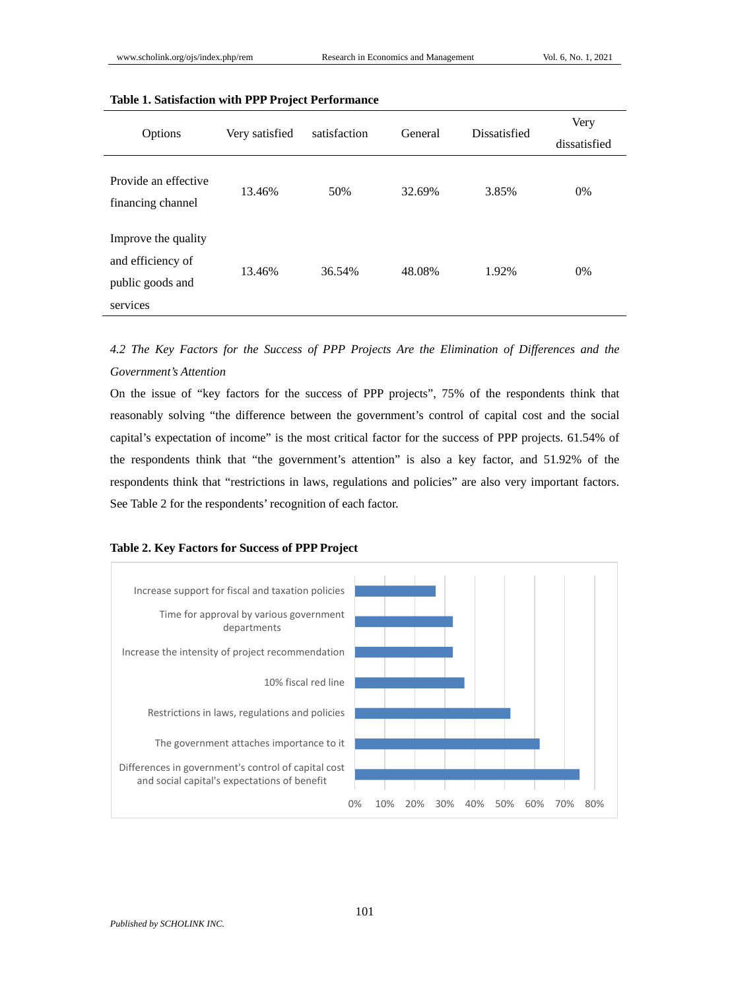| Options                                                                  | Very satisfied | satisfaction | General | Dissatisfied | Very<br>dissatisfied |
|--------------------------------------------------------------------------|----------------|--------------|---------|--------------|----------------------|
|                                                                          |                |              |         |              |                      |
| Provide an effective<br>financing channel                                | 13.46%         | 50%          | 32.69%  | 3.85%        | $0\%$                |
| Improve the quality<br>and efficiency of<br>public goods and<br>services | 13.46%         | 36.54%       | 48.08%  | 1.92%        | 0%                   |

# **Table 1. Satisfaction with PPP Project Performance**

*4.2 The Key Factors for the Success of PPP Projects Are the Elimination of Differences and the Government's Attention*

On the issue of "key factors for the success of PPP projects", 75% of the respondents think that reasonably solving "the difference between the government's control of capital cost and the social capital's expectation of income" is the most critical factor for the success of PPP projects. 61.54% of the respondents think that "the government's attention" is also a key factor, and 51.92% of the respondents think that "restrictions in laws, regulations and policies" are also very important factors. See Table 2 for the respondents' recognition of each factor.

#### **Table 2. Key Factors for Success of PPP Project**

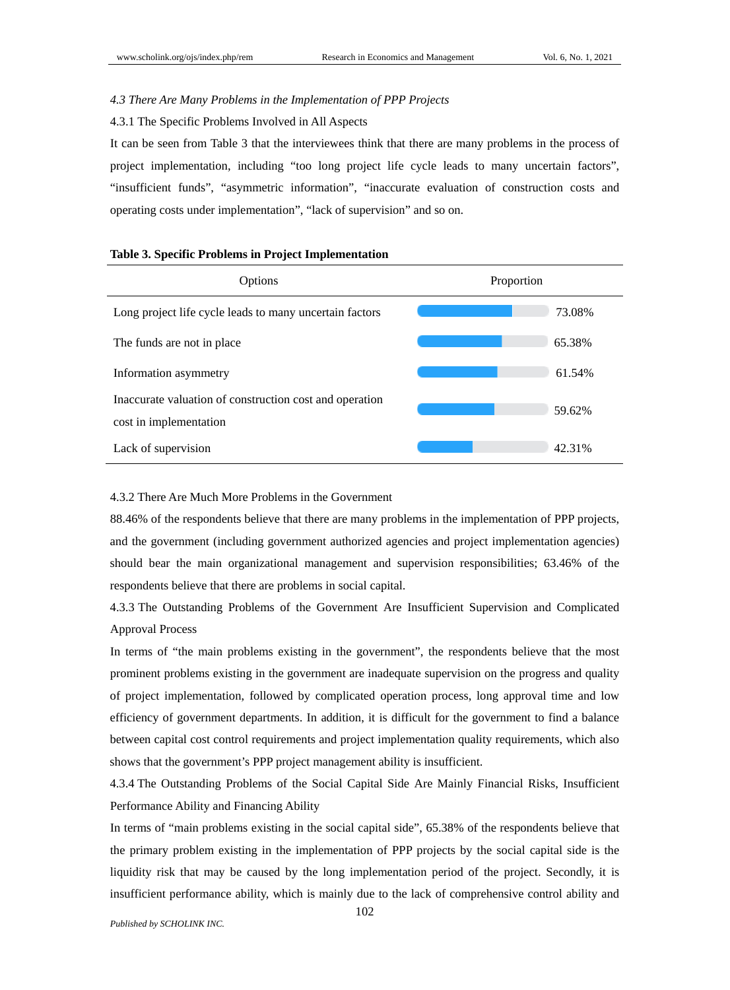## *4.3 There Are Many Problems in the Implementation of PPP Projects*

4.3.1 The Specific Problems Involved in All Aspects

It can be seen from Table 3 that the interviewees think that there are many problems in the process of project implementation, including "too long project life cycle leads to many uncertain factors", "insufficient funds", "asymmetric information", "inaccurate evaluation of construction costs and operating costs under implementation", "lack of supervision" and so on.

| Options                                                                           | Proportion |  |  |
|-----------------------------------------------------------------------------------|------------|--|--|
| Long project life cycle leads to many uncertain factors                           | 73.08%     |  |  |
| The funds are not in place                                                        | 65.38%     |  |  |
| Information asymmetry                                                             | 61.54%     |  |  |
| Inaccurate valuation of construction cost and operation<br>cost in implementation | 59.62%     |  |  |
| Lack of supervision                                                               | 42.31%     |  |  |

## **Table 3. Specific Problems in Project Implementation**

4.3.2 There Are Much More Problems in the Government

88.46% of the respondents believe that there are many problems in the implementation of PPP projects, and the government (including government authorized agencies and project implementation agencies) should bear the main organizational management and supervision responsibilities; 63.46% of the respondents believe that there are problems in social capital.

4.3.3 The Outstanding Problems of the Government Are Insufficient Supervision and Complicated Approval Process

In terms of "the main problems existing in the government", the respondents believe that the most prominent problems existing in the government are inadequate supervision on the progress and quality of project implementation, followed by complicated operation process, long approval time and low efficiency of government departments. In addition, it is difficult for the government to find a balance between capital cost control requirements and project implementation quality requirements, which also shows that the government's PPP project management ability is insufficient.

4.3.4 The Outstanding Problems of the Social Capital Side Are Mainly Financial Risks, Insufficient Performance Ability and Financing Ability

In terms of "main problems existing in the social capital side", 65.38% of the respondents believe that the primary problem existing in the implementation of PPP projects by the social capital side is the liquidity risk that may be caused by the long implementation period of the project. Secondly, it is insufficient performance ability, which is mainly due to the lack of comprehensive control ability and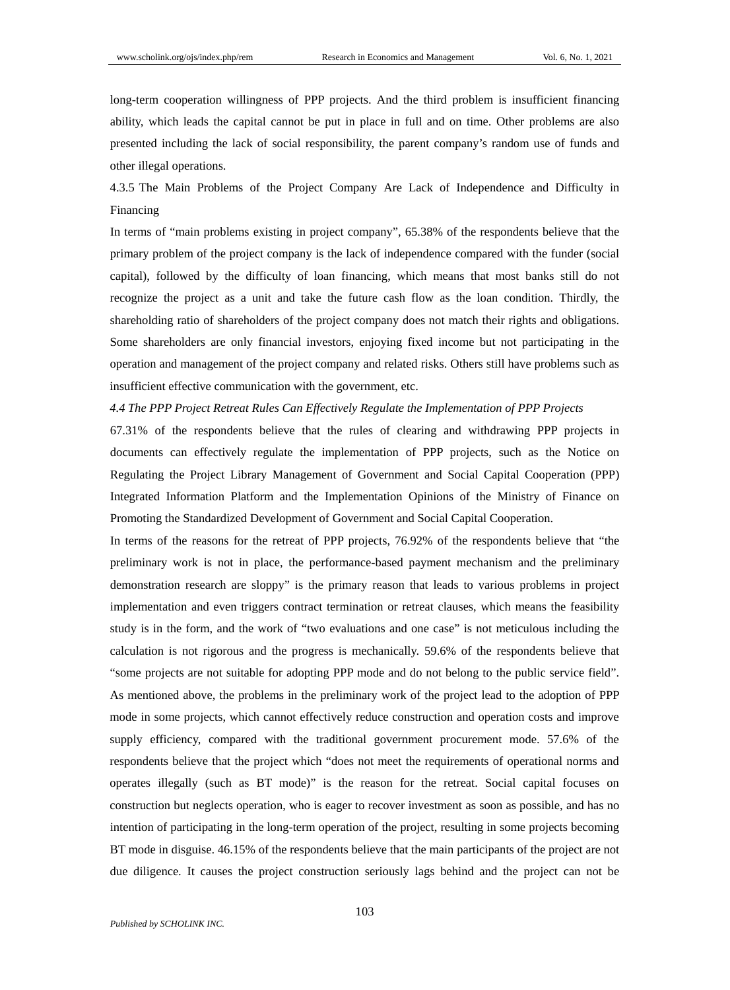long-term cooperation willingness of PPP projects. And the third problem is insufficient financing ability, which leads the capital cannot be put in place in full and on time. Other problems are also presented including the lack of social responsibility, the parent company's random use of funds and other illegal operations.

4.3.5 The Main Problems of the Project Company Are Lack of Independence and Difficulty in Financing

In terms of "main problems existing in project company", 65.38% of the respondents believe that the primary problem of the project company is the lack of independence compared with the funder (social capital), followed by the difficulty of loan financing, which means that most banks still do not recognize the project as a unit and take the future cash flow as the loan condition. Thirdly, the shareholding ratio of shareholders of the project company does not match their rights and obligations. Some shareholders are only financial investors, enjoying fixed income but not participating in the operation and management of the project company and related risks. Others still have problems such as insufficient effective communication with the government, etc.

#### *4.4 The PPP Project Retreat Rules Can Effectively Regulate the Implementation of PPP Projects*

67.31% of the respondents believe that the rules of clearing and withdrawing PPP projects in documents can effectively regulate the implementation of PPP projects, such as the Notice on Regulating the Project Library Management of Government and Social Capital Cooperation (PPP) Integrated Information Platform and the Implementation Opinions of the Ministry of Finance on Promoting the Standardized Development of Government and Social Capital Cooperation.

In terms of the reasons for the retreat of PPP projects, 76.92% of the respondents believe that "the preliminary work is not in place, the performance-based payment mechanism and the preliminary demonstration research are sloppy" is the primary reason that leads to various problems in project implementation and even triggers contract termination or retreat clauses, which means the feasibility study is in the form, and the work of "two evaluations and one case" is not meticulous including the calculation is not rigorous and the progress is mechanically. 59.6% of the respondents believe that "some projects are not suitable for adopting PPP mode and do not belong to the public service field". As mentioned above, the problems in the preliminary work of the project lead to the adoption of PPP mode in some projects, which cannot effectively reduce construction and operation costs and improve supply efficiency, compared with the traditional government procurement mode. 57.6% of the respondents believe that the project which "does not meet the requirements of operational norms and operates illegally (such as BT mode)" is the reason for the retreat. Social capital focuses on construction but neglects operation, who is eager to recover investment as soon as possible, and has no intention of participating in the long-term operation of the project, resulting in some projects becoming BT mode in disguise. 46.15% of the respondents believe that the main participants of the project are not due diligence. It causes the project construction seriously lags behind and the project can not be

103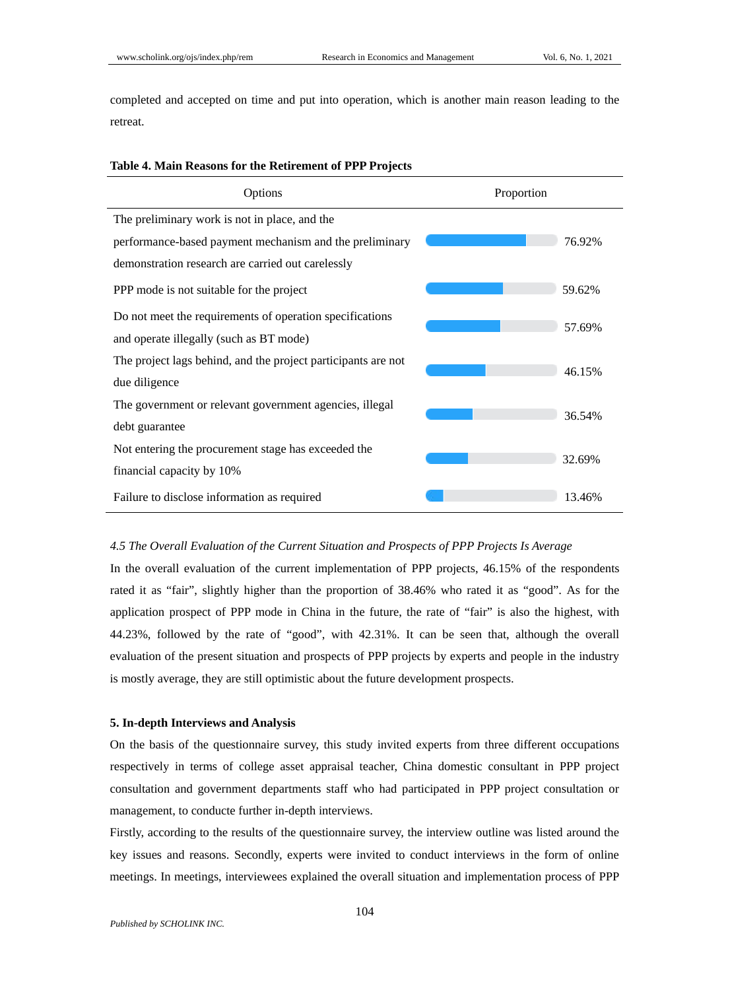completed and accepted on time and put into operation, which is another main reason leading to the retreat.

# **Table 4. Main Reasons for the Retirement of PPP Projects**

| Options                                                       | Proportion |        |
|---------------------------------------------------------------|------------|--------|
| The preliminary work is not in place, and the                 |            |        |
| performance-based payment mechanism and the preliminary       |            | 76.92% |
| demonstration research are carried out carelessly             |            |        |
| PPP mode is not suitable for the project                      |            | 59.62% |
| Do not meet the requirements of operation specifications      |            |        |
| and operate illegally (such as BT mode)                       |            | 57.69% |
| The project lags behind, and the project participants are not |            | 46.15% |
| due diligence                                                 |            |        |
| The government or relevant government agencies, illegal       |            | 36.54% |
| debt guarantee                                                |            |        |
| Not entering the procurement stage has exceeded the           |            | 32.69% |
| financial capacity by 10%                                     |            |        |
| Failure to disclose information as required                   |            | 13.46% |

#### *4.5 The Overall Evaluation of the Current Situation and Prospects of PPP Projects Is Average*

In the overall evaluation of the current implementation of PPP projects, 46.15% of the respondents rated it as "fair", slightly higher than the proportion of 38.46% who rated it as "good". As for the application prospect of PPP mode in China in the future, the rate of "fair" is also the highest, with 44.23%, followed by the rate of "good", with 42.31%. It can be seen that, although the overall evaluation of the present situation and prospects of PPP projects by experts and people in the industry is mostly average, they are still optimistic about the future development prospects.

#### **5. In-depth Interviews and Analysis**

On the basis of the questionnaire survey, this study invited experts from three different occupations respectively in terms of college asset appraisal teacher, China domestic consultant in PPP project consultation and government departments staff who had participated in PPP project consultation or management, to conducte further in-depth interviews.

Firstly, according to the results of the questionnaire survey, the interview outline was listed around the key issues and reasons. Secondly, experts were invited to conduct interviews in the form of online meetings. In meetings, interviewees explained the overall situation and implementation process of PPP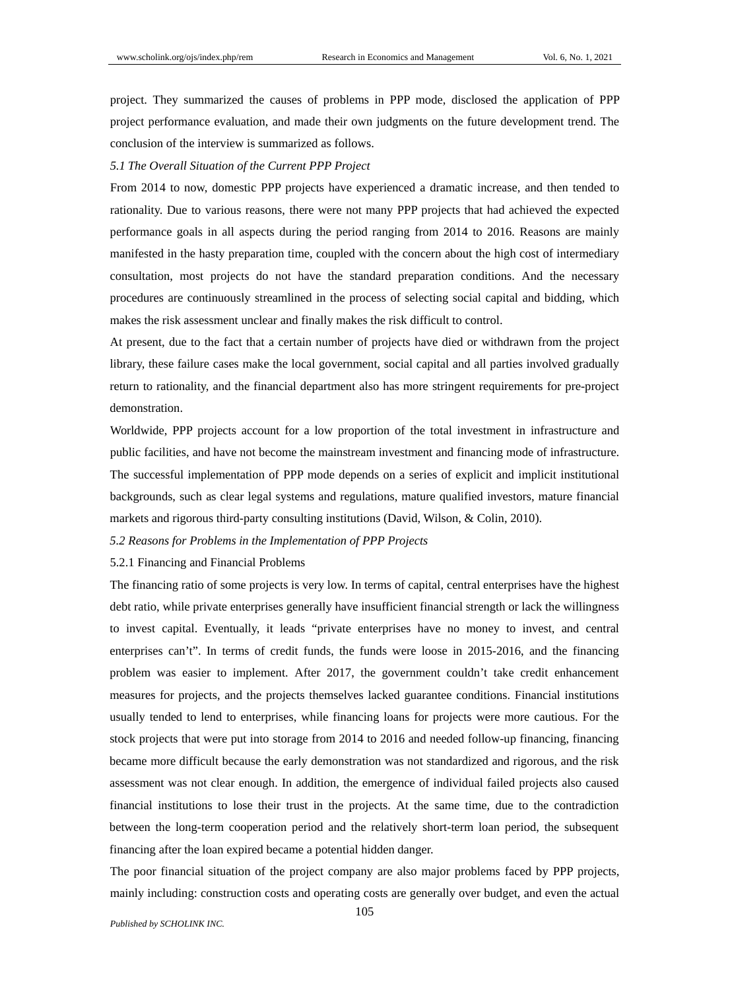project. They summarized the causes of problems in PPP mode, disclosed the application of PPP project performance evaluation, and made their own judgments on the future development trend. The conclusion of the interview is summarized as follows.

## *5.1 The Overall Situation of the Current PPP Project*

From 2014 to now, domestic PPP projects have experienced a dramatic increase, and then tended to rationality. Due to various reasons, there were not many PPP projects that had achieved the expected performance goals in all aspects during the period ranging from 2014 to 2016. Reasons are mainly manifested in the hasty preparation time, coupled with the concern about the high cost of intermediary consultation, most projects do not have the standard preparation conditions. And the necessary procedures are continuously streamlined in the process of selecting social capital and bidding, which makes the risk assessment unclear and finally makes the risk difficult to control.

At present, due to the fact that a certain number of projects have died or withdrawn from the project library, these failure cases make the local government, social capital and all parties involved gradually return to rationality, and the financial department also has more stringent requirements for pre-project demonstration.

Worldwide, PPP projects account for a low proportion of the total investment in infrastructure and public facilities, and have not become the mainstream investment and financing mode of infrastructure. The successful implementation of PPP mode depends on a series of explicit and implicit institutional backgrounds, such as clear legal systems and regulations, mature qualified investors, mature financial markets and rigorous third-party consulting institutions (David, Wilson, & Colin, 2010).

#### *5.2 Reasons for Problems in the Implementation of PPP Projects*

#### 5.2.1 Financing and Financial Problems

The financing ratio of some projects is very low. In terms of capital, central enterprises have the highest debt ratio, while private enterprises generally have insufficient financial strength or lack the willingness to invest capital. Eventually, it leads "private enterprises have no money to invest, and central enterprises can't". In terms of credit funds, the funds were loose in 2015-2016, and the financing problem was easier to implement. After 2017, the government couldn't take credit enhancement measures for projects, and the projects themselves lacked guarantee conditions. Financial institutions usually tended to lend to enterprises, while financing loans for projects were more cautious. For the stock projects that were put into storage from 2014 to 2016 and needed follow-up financing, financing became more difficult because the early demonstration was not standardized and rigorous, and the risk assessment was not clear enough. In addition, the emergence of individual failed projects also caused financial institutions to lose their trust in the projects. At the same time, due to the contradiction between the long-term cooperation period and the relatively short-term loan period, the subsequent financing after the loan expired became a potential hidden danger.

The poor financial situation of the project company are also major problems faced by PPP projects, mainly including: construction costs and operating costs are generally over budget, and even the actual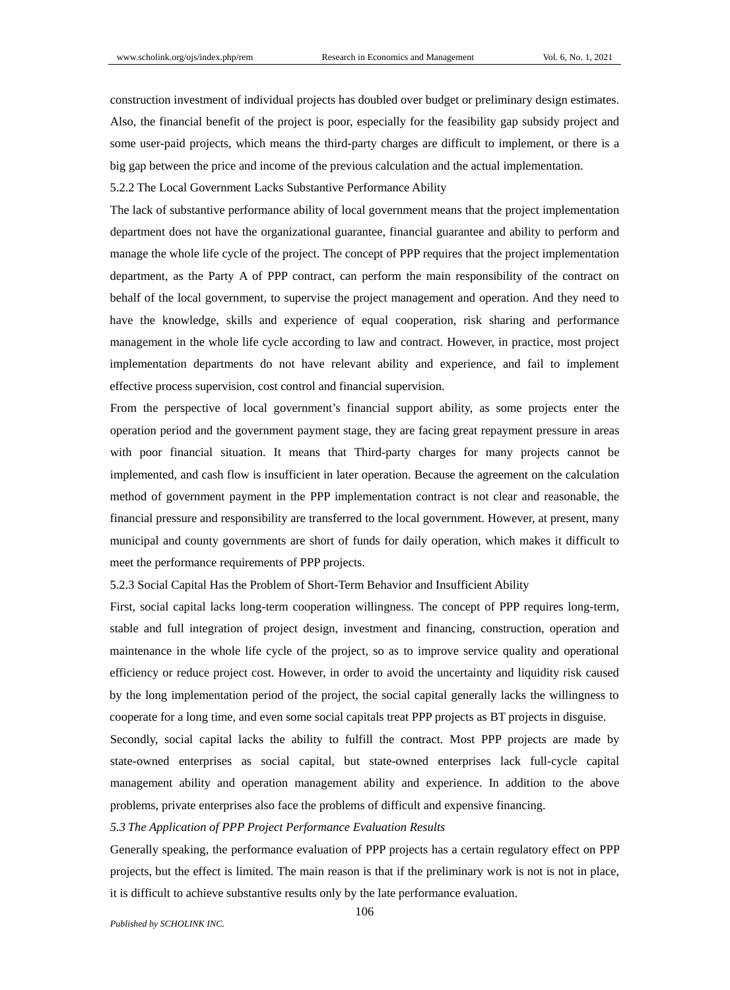construction investment of individual projects has doubled over budget or preliminary design estimates. Also, the financial benefit of the project is poor, especially for the feasibility gap subsidy project and some user-paid projects, which means the third-party charges are difficult to implement, or there is a big gap between the price and income of the previous calculation and the actual implementation.

5.2.2 The Local Government Lacks Substantive Performance Ability

The lack of substantive performance ability of local government means that the project implementation department does not have the organizational guarantee, financial guarantee and ability to perform and manage the whole life cycle of the project. The concept of PPP requires that the project implementation department, as the Party A of PPP contract, can perform the main responsibility of the contract on behalf of the local government, to supervise the project management and operation. And they need to have the knowledge, skills and experience of equal cooperation, risk sharing and performance management in the whole life cycle according to law and contract. However, in practice, most project implementation departments do not have relevant ability and experience, and fail to implement effective process supervision, cost control and financial supervision.

From the perspective of local government's financial support ability, as some projects enter the operation period and the government payment stage, they are facing great repayment pressure in areas with poor financial situation. It means that Third-party charges for many projects cannot be implemented, and cash flow is insufficient in later operation. Because the agreement on the calculation method of government payment in the PPP implementation contract is not clear and reasonable, the financial pressure and responsibility are transferred to the local government. However, at present, many municipal and county governments are short of funds for daily operation, which makes it difficult to meet the performance requirements of PPP projects.

5.2.3 Social Capital Has the Problem of Short-Term Behavior and Insufficient Ability

First, social capital lacks long-term cooperation willingness. The concept of PPP requires long-term, stable and full integration of project design, investment and financing, construction, operation and maintenance in the whole life cycle of the project, so as to improve service quality and operational efficiency or reduce project cost. However, in order to avoid the uncertainty and liquidity risk caused by the long implementation period of the project, the social capital generally lacks the willingness to cooperate for a long time, and even some social capitals treat PPP projects as BT projects in disguise.

Secondly, social capital lacks the ability to fulfill the contract. Most PPP projects are made by state-owned enterprises as social capital, but state-owned enterprises lack full-cycle capital management ability and operation management ability and experience. In addition to the above problems, private enterprises also face the problems of difficult and expensive financing.

## *5.3 The Application of PPP Project Performance Evaluation Results*

Generally speaking, the performance evaluation of PPP projects has a certain regulatory effect on PPP projects, but the effect is limited. The main reason is that if the preliminary work is not is not in place, it is difficult to achieve substantive results only by the late performance evaluation.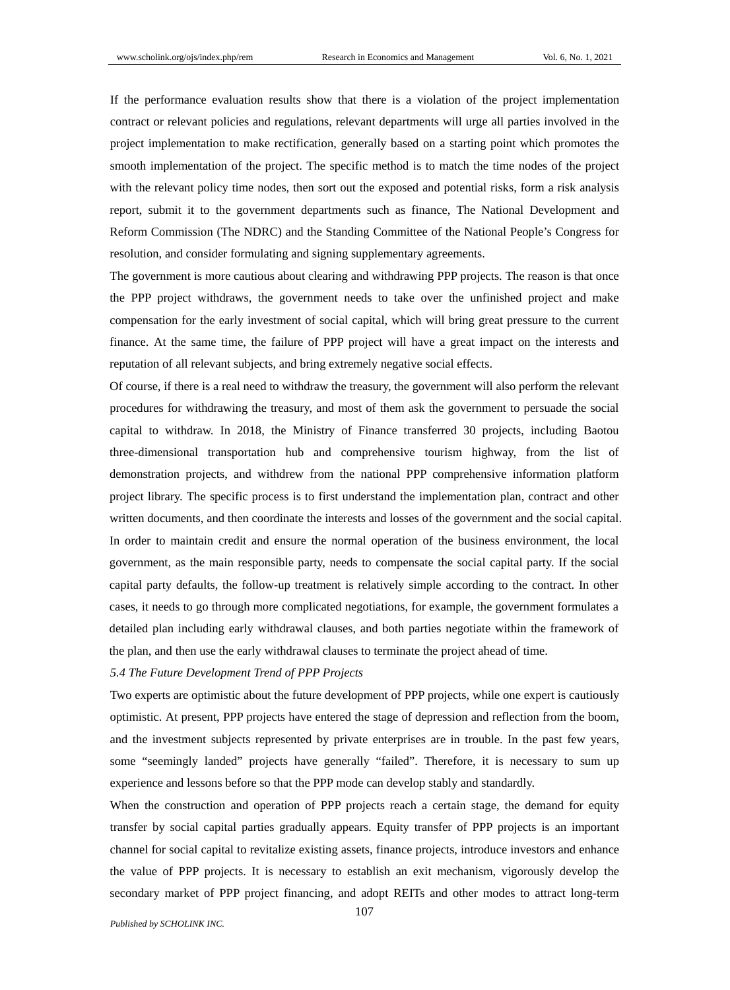If the performance evaluation results show that there is a violation of the project implementation contract or relevant policies and regulations, relevant departments will urge all parties involved in the project implementation to make rectification, generally based on a starting point which promotes the smooth implementation of the project. The specific method is to match the time nodes of the project with the relevant policy time nodes, then sort out the exposed and potential risks, form a risk analysis report, submit it to the government departments such as finance, The National Development and Reform Commission (The NDRC) and the Standing Committee of the National People's Congress for resolution, and consider formulating and signing supplementary agreements.

The government is more cautious about clearing and withdrawing PPP projects. The reason is that once the PPP project withdraws, the government needs to take over the unfinished project and make compensation for the early investment of social capital, which will bring great pressure to the current finance. At the same time, the failure of PPP project will have a great impact on the interests and reputation of all relevant subjects, and bring extremely negative social effects.

Of course, if there is a real need to withdraw the treasury, the government will also perform the relevant procedures for withdrawing the treasury, and most of them ask the government to persuade the social capital to withdraw. In 2018, the Ministry of Finance transferred 30 projects, including Baotou three-dimensional transportation hub and comprehensive tourism highway, from the list of demonstration projects, and withdrew from the national PPP comprehensive information platform project library. The specific process is to first understand the implementation plan, contract and other written documents, and then coordinate the interests and losses of the government and the social capital. In order to maintain credit and ensure the normal operation of the business environment, the local government, as the main responsible party, needs to compensate the social capital party. If the social capital party defaults, the follow-up treatment is relatively simple according to the contract. In other cases, it needs to go through more complicated negotiations, for example, the government formulates a detailed plan including early withdrawal clauses, and both parties negotiate within the framework of the plan, and then use the early withdrawal clauses to terminate the project ahead of time.

### *5.4 The Future Development Trend of PPP Projects*

Two experts are optimistic about the future development of PPP projects, while one expert is cautiously optimistic. At present, PPP projects have entered the stage of depression and reflection from the boom, and the investment subjects represented by private enterprises are in trouble. In the past few years, some "seemingly landed" projects have generally "failed". Therefore, it is necessary to sum up experience and lessons before so that the PPP mode can develop stably and standardly.

When the construction and operation of PPP projects reach a certain stage, the demand for equity transfer by social capital parties gradually appears. Equity transfer of PPP projects is an important channel for social capital to revitalize existing assets, finance projects, introduce investors and enhance the value of PPP projects. It is necessary to establish an exit mechanism, vigorously develop the secondary market of PPP project financing, and adopt REITs and other modes to attract long-term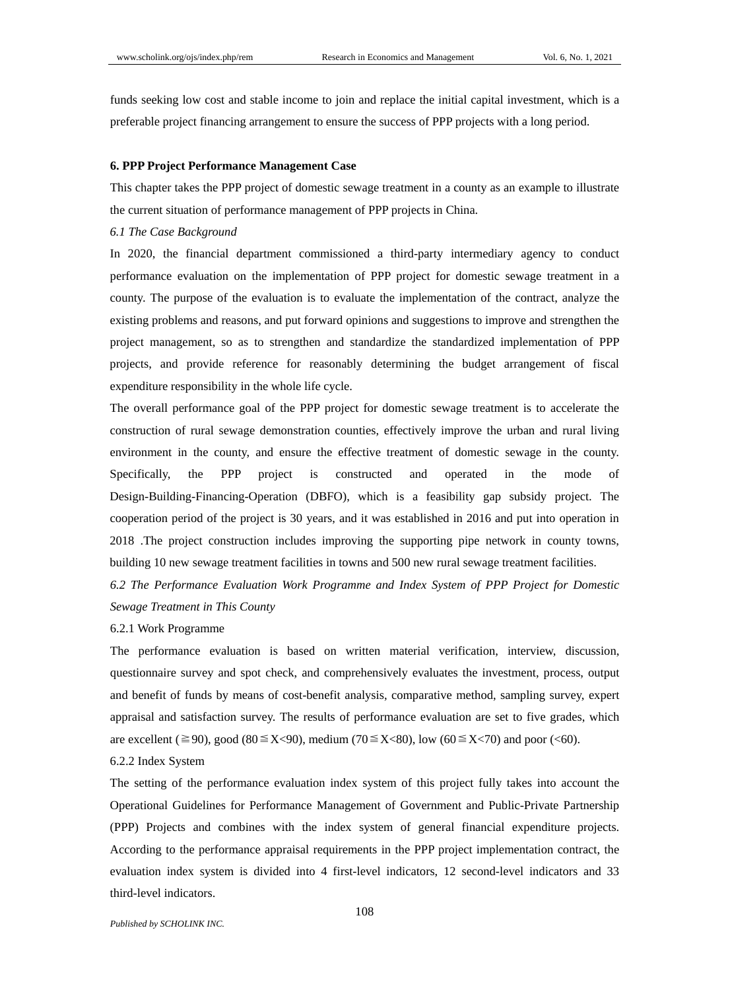funds seeking low cost and stable income to join and replace the initial capital investment, which is a preferable project financing arrangement to ensure the success of PPP projects with a long period.

#### **6. PPP Project Performance Management Case**

This chapter takes the PPP project of domestic sewage treatment in a county as an example to illustrate the current situation of performance management of PPP projects in China.

## *6.1 The Case Background*

In 2020, the financial department commissioned a third-party intermediary agency to conduct performance evaluation on the implementation of PPP project for domestic sewage treatment in a county. The purpose of the evaluation is to evaluate the implementation of the contract, analyze the existing problems and reasons, and put forward opinions and suggestions to improve and strengthen the project management, so as to strengthen and standardize the standardized implementation of PPP projects, and provide reference for reasonably determining the budget arrangement of fiscal expenditure responsibility in the whole life cycle.

The overall performance goal of the PPP project for domestic sewage treatment is to accelerate the construction of rural sewage demonstration counties, effectively improve the urban and rural living environment in the county, and ensure the effective treatment of domestic sewage in the county. Specifically, the PPP project is constructed and operated in the mode of Design-Building-Financing-Operation (DBFO), which is a feasibility gap subsidy project. The cooperation period of the project is 30 years, and it was established in 2016 and put into operation in 2018 .The project construction includes improving the supporting pipe network in county towns, building 10 new sewage treatment facilities in towns and 500 new rural sewage treatment facilities.

*6.2 The Performance Evaluation Work Programme and Index System of PPP Project for Domestic Sewage Treatment in This County*

#### 6.2.1 Work Programme

The performance evaluation is based on written material verification, interview, discussion, questionnaire survey and spot check, and comprehensively evaluates the investment, process, output and benefit of funds by means of cost-benefit analysis, comparative method, sampling survey, expert appraisal and satisfaction survey. The results of performance evaluation are set to five grades, which are excellent ( $\geq 90$ ), good (80 ≤ X<90), medium (70 ≤ X<80), low (60 ≤ X<70) and poor (<60).

#### 6.2.2 Index System

The setting of the performance evaluation index system of this project fully takes into account the Operational Guidelines for Performance Management of Government and Public-Private Partnership (PPP) Projects and combines with the index system of general financial expenditure projects. According to the performance appraisal requirements in the PPP project implementation contract, the evaluation index system is divided into 4 first-level indicators, 12 second-level indicators and 33 third-level indicators.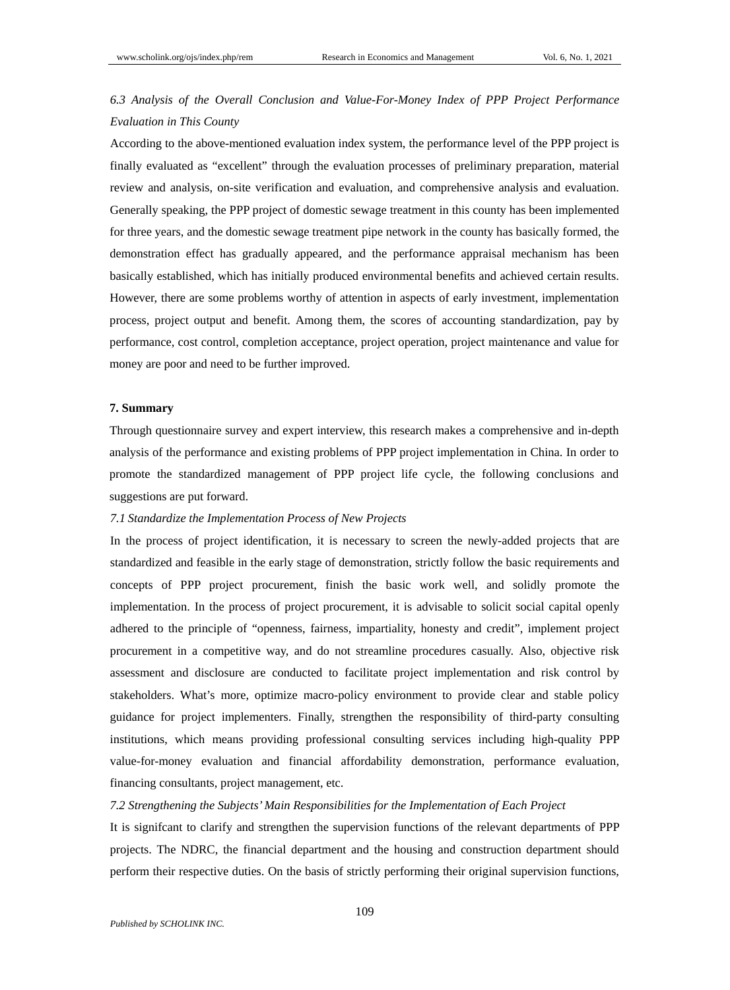# *6.3 Analysis of the Overall Conclusion and Value-For-Money Index of PPP Project Performance Evaluation in This County*

According to the above-mentioned evaluation index system, the performance level of the PPP project is finally evaluated as "excellent" through the evaluation processes of preliminary preparation, material review and analysis, on-site verification and evaluation, and comprehensive analysis and evaluation. Generally speaking, the PPP project of domestic sewage treatment in this county has been implemented for three years, and the domestic sewage treatment pipe network in the county has basically formed, the demonstration effect has gradually appeared, and the performance appraisal mechanism has been basically established, which has initially produced environmental benefits and achieved certain results. However, there are some problems worthy of attention in aspects of early investment, implementation process, project output and benefit. Among them, the scores of accounting standardization, pay by performance, cost control, completion acceptance, project operation, project maintenance and value for money are poor and need to be further improved.

#### **7. Summary**

Through questionnaire survey and expert interview, this research makes a comprehensive and in-depth analysis of the performance and existing problems of PPP project implementation in China. In order to promote the standardized management of PPP project life cycle, the following conclusions and suggestions are put forward.

# *7.1 Standardize the Implementation Process of New Projects*

In the process of project identification, it is necessary to screen the newly-added projects that are standardized and feasible in the early stage of demonstration, strictly follow the basic requirements and concepts of PPP project procurement, finish the basic work well, and solidly promote the implementation. In the process of project procurement, it is advisable to solicit social capital openly adhered to the principle of "openness, fairness, impartiality, honesty and credit", implement project procurement in a competitive way, and do not streamline procedures casually. Also, objective risk assessment and disclosure are conducted to facilitate project implementation and risk control by stakeholders. What's more, optimize macro-policy environment to provide clear and stable policy guidance for project implementers. Finally, strengthen the responsibility of third-party consulting institutions, which means providing professional consulting services including high-quality PPP value-for-money evaluation and financial affordability demonstration, performance evaluation, financing consultants, project management, etc.

## *7.2 Strengthening the Subjects' Main Responsibilities for the Implementation of Each Project*

It is signifcant to clarify and strengthen the supervision functions of the relevant departments of PPP projects. The NDRC, the financial department and the housing and construction department should perform their respective duties. On the basis of strictly performing their original supervision functions,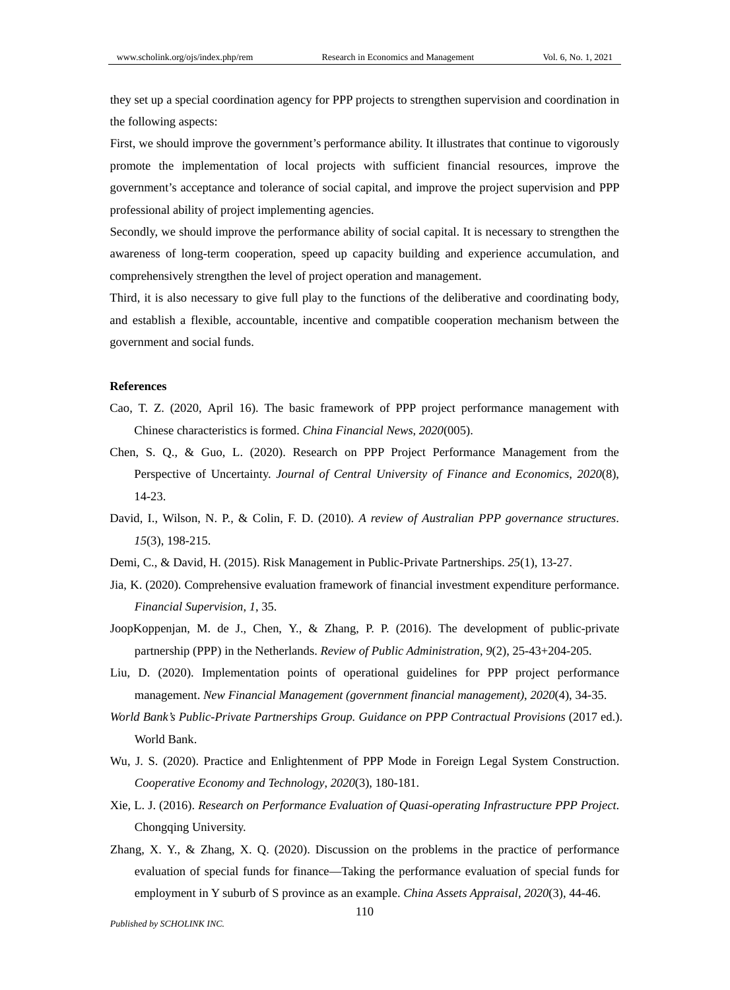they set up a special coordination agency for PPP projects to strengthen supervision and coordination in the following aspects:

First, we should improve the government's performance ability. It illustrates that continue to vigorously promote the implementation of local projects with sufficient financial resources, improve the government's acceptance and tolerance of social capital, and improve the project supervision and PPP professional ability of project implementing agencies.

Secondly, we should improve the performance ability of social capital. It is necessary to strengthen the awareness of long-term cooperation, speed up capacity building and experience accumulation, and comprehensively strengthen the level of project operation and management.

Third, it is also necessary to give full play to the functions of the deliberative and coordinating body, and establish a flexible, accountable, incentive and compatible cooperation mechanism between the government and social funds.

## **References**

- Cao, T. Z. (2020, April 16). The basic framework of PPP project performance management with Chinese characteristics is formed. *China Financial News*, *2020*(005).
- Chen, S. Q., & Guo, L. (2020). Research on PPP Project Performance Management from the Perspective of Uncertainty. *Journal of Central University of Finance and Economics*, *2020*(8), 14-23.
- David, I., Wilson, N. P., & Colin, F. D. (2010). *A review of Australian PPP governance structures*. *15*(3), 198-215.
- Demi, C., & David, H. (2015). Risk Management in Public-Private Partnerships. *25*(1), 13-27.
- Jia, K. (2020). Comprehensive evaluation framework of financial investment expenditure performance. *Financial Supervision*, *1*, 35.
- JoopKoppenjan, M. de J., Chen, Y., & Zhang, P. P. (2016). The development of public-private partnership (PPP) in the Netherlands. *Review of Public Administration*, *9*(2), 25-43+204-205.
- Liu, D. (2020). Implementation points of operational guidelines for PPP project performance management. *New Financial Management (government financial management)*, *2020*(4), 34-35.
- *World Bank's Public-Private Partnerships Group. Guidance on PPP Contractual Provisions* (2017 ed.). World Bank.
- Wu, J. S. (2020). Practice and Enlightenment of PPP Mode in Foreign Legal System Construction. *Cooperative Economy and Technology*, *2020*(3), 180-181.
- Xie, L. J. (2016). *Research on Performance Evaluation of Quasi-operating Infrastructure PPP Project*. Chongqing University.
- Zhang, X. Y., & Zhang, X. Q. (2020). Discussion on the problems in the practice of performance evaluation of special funds for finance—Taking the performance evaluation of special funds for employment in Y suburb of S province as an example. *China Assets Appraisal*, *2020*(3), 44-46.